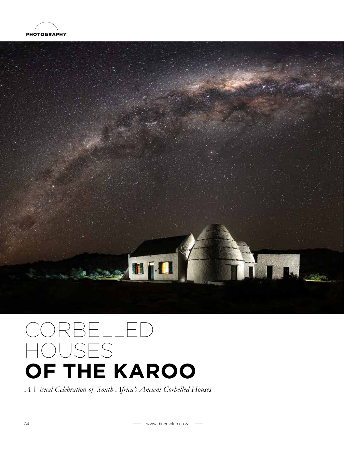PHOTOGRAPHY



## CORBELLED HOUSES **OF THE KAROO**

*A Visual Celebration of South Africa's Ancient Corbelled Houses*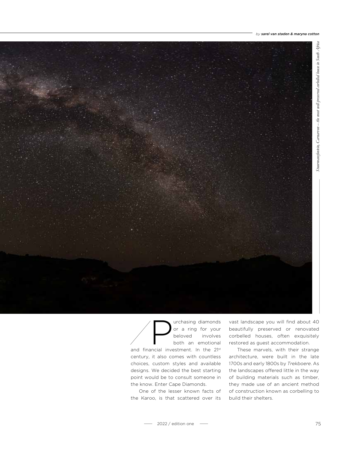

The University of the University of the State of the State of the State of the State of the State of the State of the State of the State of the State of the State of the State of the State of the State of the State of the or a ring for your beloved involves both an emotional and financial investment. In the 21st century, it also comes with countless choices, custom styles and available designs. We decided the best starting point would be to consult someone in the know. Enter Cape Diamonds.

One of the lesser known facts of the Karoo, is that scattered over its vast landscape you will find about 40 beautifully preserved or renovated corbelled houses, often exquisitely restored as guest accommodation.

These marvels, with their strange architecture, were built in the late 1700s and early 1800s by *Trekboere*. As the landscapes offered little in the way of building materials such as timber, they made use of an ancient method of construction known as corbelling to build their shelters.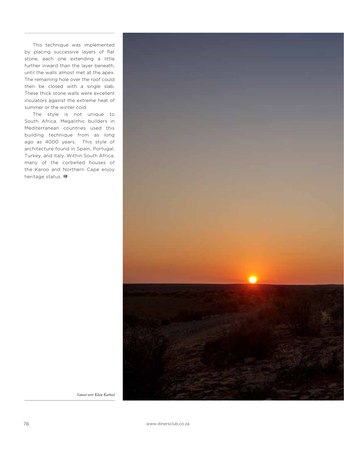This technique was implemented by placing successive layers of flat stone, each one extending a little further inward than the layer beneath, until the walls almost met at the apex. The remaining hole over the roof could then be closed with a single slab. These thick stone walls were excellent insulators against the extreme heat of summer or the winter cold.

The style is not unique to South Africa. Megalithic builders in Mediterranean countries used this building technique from as long ago as 4000 years. This style of architecture found in Spain, Portugal, Turkey, and Italy. Within South Africa, many of the corbelled houses of the Karoo and Northern Cape enjoy heritage status.



*Sunset over Klein Korbeel*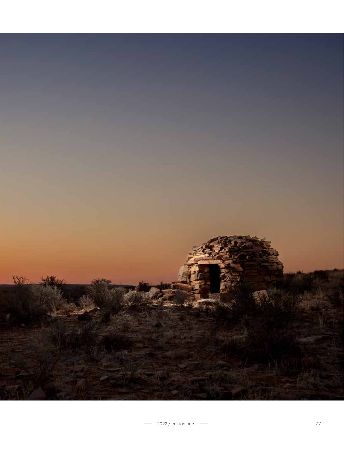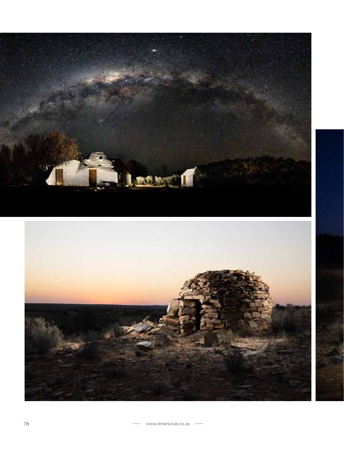

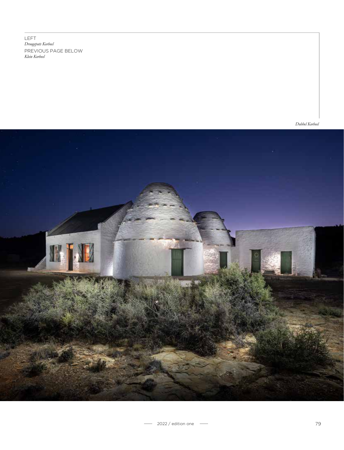LEFT *Droogeputs Korbeel* PREVIOUS PAGE BELOW *Klein Korbeel*